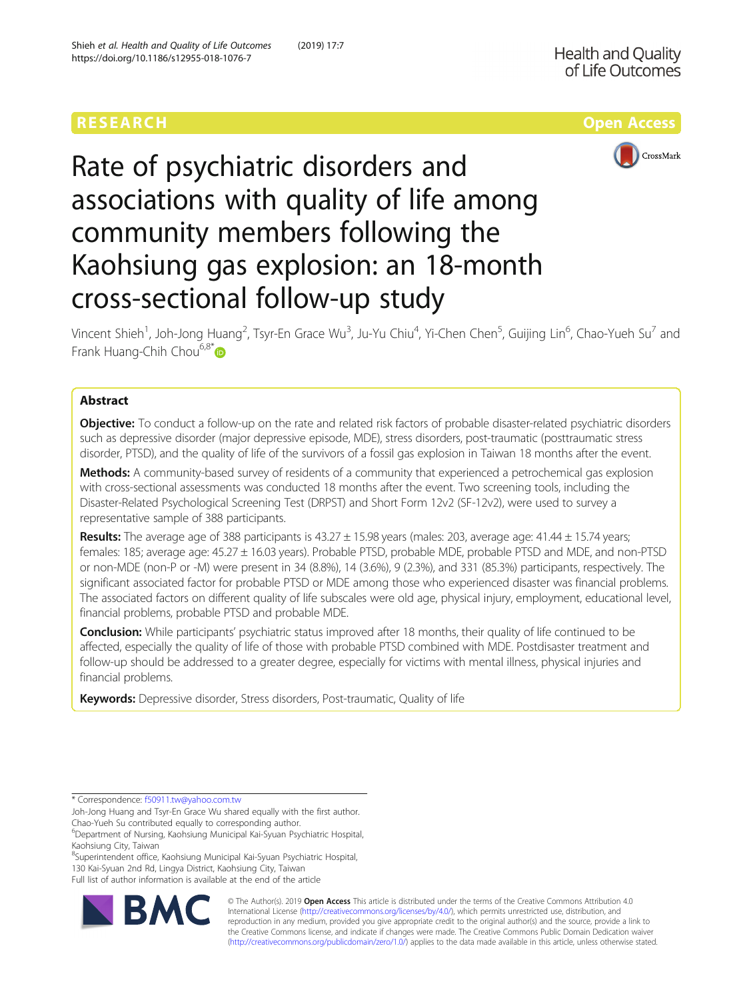

# Rate of psychiatric disorders and associations with quality of life among community members following the Kaohsiung gas explosion: an 18-month cross-sectional follow-up study

Vincent Shieh<sup>1</sup>, Joh-Jong Huang<sup>2</sup>, Tsyr-En Grace Wu<sup>3</sup>, Ju-Yu Chiu<sup>4</sup>, Yi-Chen Chen<sup>5</sup>, Guijing Lin<sup>6</sup>, Chao-Yueh Su<sup>7</sup> and Frank Huang-Chih Chou<sup>6,8\*</sup>

# Abstract

**Objective:** To conduct a follow-up on the rate and related risk factors of probable disaster-related psychiatric disorders such as depressive disorder (major depressive episode, MDE), stress disorders, post-traumatic (posttraumatic stress disorder, PTSD), and the quality of life of the survivors of a fossil gas explosion in Taiwan 18 months after the event.

Methods: A community-based survey of residents of a community that experienced a petrochemical gas explosion with cross-sectional assessments was conducted 18 months after the event. Two screening tools, including the Disaster-Related Psychological Screening Test (DRPST) and Short Form 12v2 (SF-12v2), were used to survey a representative sample of 388 participants.

Results: The average age of 388 participants is  $43.27 \pm 15.98$  years (males: 203, average age:  $41.44 \pm 15.74$  years; females: 185; average age: 45.27 ± 16.03 years). Probable PTSD, probable MDE, probable PTSD and MDE, and non-PTSD or non-MDE (non-P or -M) were present in 34 (8.8%), 14 (3.6%), 9 (2.3%), and 331 (85.3%) participants, respectively. The significant associated factor for probable PTSD or MDE among those who experienced disaster was financial problems. The associated factors on different quality of life subscales were old age, physical injury, employment, educational level, financial problems, probable PTSD and probable MDE.

**Conclusion:** While participants' psychiatric status improved after 18 months, their quality of life continued to be affected, especially the quality of life of those with probable PTSD combined with MDE. Postdisaster treatment and follow-up should be addressed to a greater degree, especially for victims with mental illness, physical injuries and financial problems.

Keywords: Depressive disorder, Stress disorders, Post-traumatic, Quality of life

8 Superintendent office, Kaohsiung Municipal Kai-Syuan Psychiatric Hospital, 130 Kai-Syuan 2nd Rd, Lingya District, Kaohsiung City, Taiwan

Full list of author information is available at the end of the article



© The Author(s). 2019 **Open Access** This article is distributed under the terms of the Creative Commons Attribution 4.0 International License [\(http://creativecommons.org/licenses/by/4.0/](http://creativecommons.org/licenses/by/4.0/)), which permits unrestricted use, distribution, and reproduction in any medium, provided you give appropriate credit to the original author(s) and the source, provide a link to the Creative Commons license, and indicate if changes were made. The Creative Commons Public Domain Dedication waiver [\(http://creativecommons.org/publicdomain/zero/1.0/](http://creativecommons.org/publicdomain/zero/1.0/)) applies to the data made available in this article, unless otherwise stated.

<sup>\*</sup> Correspondence: [f50911.tw@yahoo.com.tw](mailto:f50911.tw@yahoo.com.tw)

Joh-Jong Huang and Tsyr-En Grace Wu shared equally with the first author. Chao-Yueh Su contributed equally to corresponding author.

<sup>6</sup> Department of Nursing, Kaohsiung Municipal Kai-Syuan Psychiatric Hospital, Kaohsiung City, Taiwan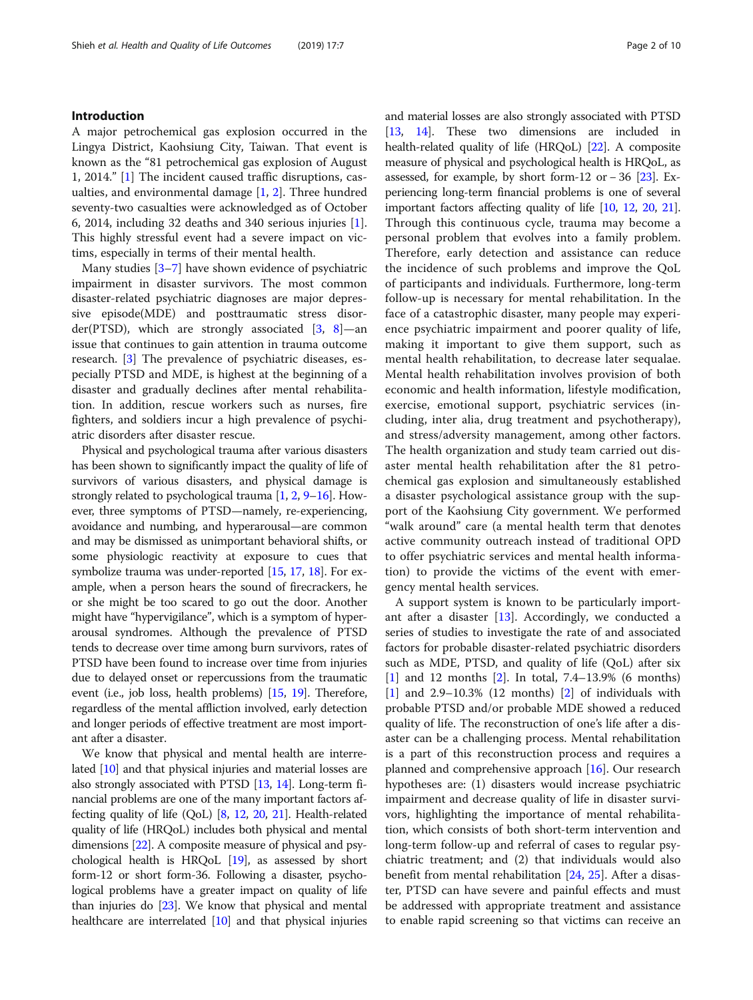# Introduction

A major petrochemical gas explosion occurred in the Lingya District, Kaohsiung City, Taiwan. That event is known as the "81 petrochemical gas explosion of August 1, 2014." [[1](#page-8-0)] The incident caused traffic disruptions, casualties, and environmental damage [[1,](#page-8-0) [2\]](#page-8-0). Three hundred seventy-two casualties were acknowledged as of October 6, 2014, including 32 deaths and 340 serious injuries [\[1](#page-8-0)]. This highly stressful event had a severe impact on victims, especially in terms of their mental health.

Many studies [\[3](#page-8-0)–[7\]](#page-8-0) have shown evidence of psychiatric impairment in disaster survivors. The most common disaster-related psychiatric diagnoses are major depressive episode(MDE) and posttraumatic stress disorder(PTSD), which are strongly associated  $[3, 8]$  $[3, 8]$  $[3, 8]$ —an issue that continues to gain attention in trauma outcome research. [\[3](#page-8-0)] The prevalence of psychiatric diseases, especially PTSD and MDE, is highest at the beginning of a disaster and gradually declines after mental rehabilitation. In addition, rescue workers such as nurses, fire fighters, and soldiers incur a high prevalence of psychiatric disorders after disaster rescue.

Physical and psychological trauma after various disasters has been shown to significantly impact the quality of life of survivors of various disasters, and physical damage is strongly related to psychological trauma [\[1,](#page-8-0) [2](#page-8-0), [9](#page-8-0)–[16](#page-9-0)]. However, three symptoms of PTSD—namely, re-experiencing, avoidance and numbing, and hyperarousal—are common and may be dismissed as unimportant behavioral shifts, or some physiologic reactivity at exposure to cues that symbolize trauma was under-reported [[15](#page-9-0), [17,](#page-9-0) [18](#page-9-0)]. For example, when a person hears the sound of firecrackers, he or she might be too scared to go out the door. Another might have "hypervigilance", which is a symptom of hyperarousal syndromes. Although the prevalence of PTSD tends to decrease over time among burn survivors, rates of PTSD have been found to increase over time from injuries due to delayed onset or repercussions from the traumatic event (i.e., job loss, health problems) [\[15,](#page-9-0) [19](#page-9-0)]. Therefore, regardless of the mental affliction involved, early detection and longer periods of effective treatment are most important after a disaster.

We know that physical and mental health are interrelated [[10](#page-8-0)] and that physical injuries and material losses are also strongly associated with PTSD [[13](#page-9-0), [14\]](#page-9-0). Long-term financial problems are one of the many important factors affecting quality of life (QoL) [[8](#page-8-0), [12,](#page-8-0) [20,](#page-9-0) [21](#page-9-0)]. Health-related quality of life (HRQoL) includes both physical and mental dimensions [\[22\]](#page-9-0). A composite measure of physical and psychological health is HRQoL [\[19\]](#page-9-0), as assessed by short form-12 or short form-36. Following a disaster, psychological problems have a greater impact on quality of life than injuries do [\[23\]](#page-9-0). We know that physical and mental healthcare are interrelated [\[10\]](#page-8-0) and that physical injuries and material losses are also strongly associated with PTSD [[13](#page-9-0), [14](#page-9-0)]. These two dimensions are included in health-related quality of life (HRQoL) [[22](#page-9-0)]. A composite measure of physical and psychological health is HRQoL, as assessed, for example, by short form-12 or − 36 [\[23\]](#page-9-0). Experiencing long-term financial problems is one of several important factors affecting quality of life [\[10,](#page-8-0) [12](#page-8-0), [20,](#page-9-0) [21](#page-9-0)]. Through this continuous cycle, trauma may become a personal problem that evolves into a family problem. Therefore, early detection and assistance can reduce the incidence of such problems and improve the QoL of participants and individuals. Furthermore, long-term follow-up is necessary for mental rehabilitation. In the face of a catastrophic disaster, many people may experience psychiatric impairment and poorer quality of life, making it important to give them support, such as mental health rehabilitation, to decrease later sequalae. Mental health rehabilitation involves provision of both economic and health information, lifestyle modification, exercise, emotional support, psychiatric services (including, inter alia, drug treatment and psychotherapy), and stress/adversity management, among other factors. The health organization and study team carried out disaster mental health rehabilitation after the 81 petrochemical gas explosion and simultaneously established a disaster psychological assistance group with the support of the Kaohsiung City government. We performed "walk around" care (a mental health term that denotes active community outreach instead of traditional OPD to offer psychiatric services and mental health information) to provide the victims of the event with emergency mental health services.

A support system is known to be particularly important after a disaster [\[13](#page-9-0)]. Accordingly, we conducted a series of studies to investigate the rate of and associated factors for probable disaster-related psychiatric disorders such as MDE, PTSD, and quality of life (QoL) after six [[1\]](#page-8-0) and 12 months [[2\]](#page-8-0). In total, 7.4–13.9% (6 months)  $[1]$  $[1]$  and 2.9–10.3% (12 months)  $[2]$  $[2]$  of individuals with probable PTSD and/or probable MDE showed a reduced quality of life. The reconstruction of one's life after a disaster can be a challenging process. Mental rehabilitation is a part of this reconstruction process and requires a planned and comprehensive approach [[16\]](#page-9-0). Our research hypotheses are: (1) disasters would increase psychiatric impairment and decrease quality of life in disaster survivors, highlighting the importance of mental rehabilitation, which consists of both short-term intervention and long-term follow-up and referral of cases to regular psychiatric treatment; and (2) that individuals would also benefit from mental rehabilitation [\[24](#page-9-0), [25](#page-9-0)]. After a disaster, PTSD can have severe and painful effects and must be addressed with appropriate treatment and assistance to enable rapid screening so that victims can receive an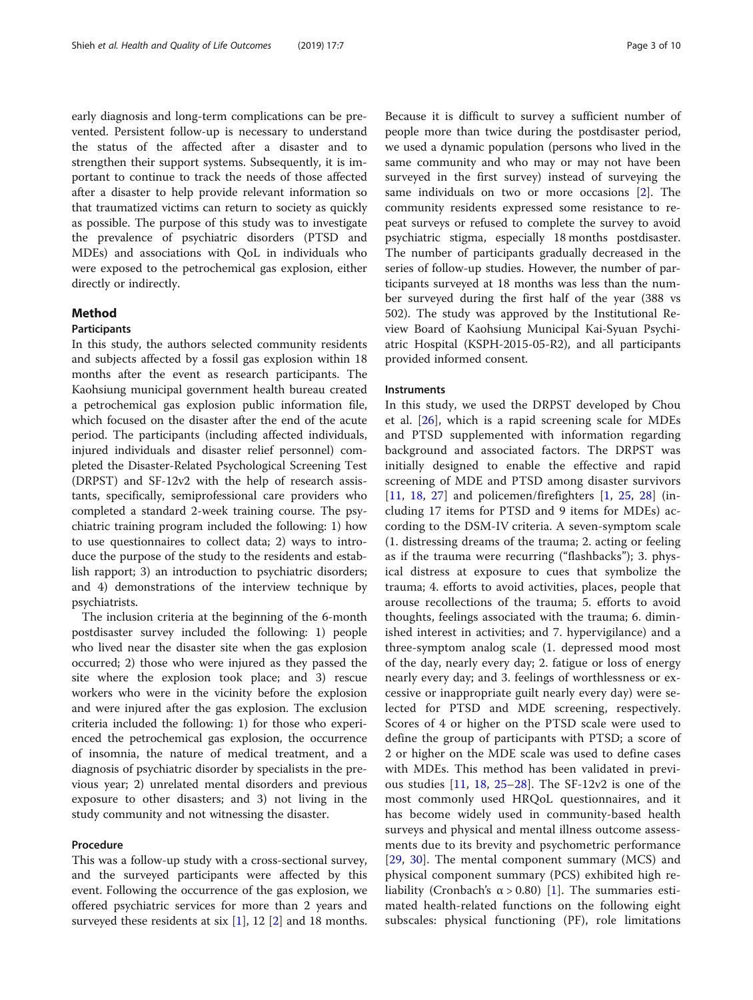early diagnosis and long-term complications can be prevented. Persistent follow-up is necessary to understand the status of the affected after a disaster and to strengthen their support systems. Subsequently, it is important to continue to track the needs of those affected after a disaster to help provide relevant information so that traumatized victims can return to society as quickly as possible. The purpose of this study was to investigate the prevalence of psychiatric disorders (PTSD and MDEs) and associations with QoL in individuals who were exposed to the petrochemical gas explosion, either directly or indirectly.

# Method

# Participants

In this study, the authors selected community residents and subjects affected by a fossil gas explosion within 18 months after the event as research participants. The Kaohsiung municipal government health bureau created a petrochemical gas explosion public information file, which focused on the disaster after the end of the acute period. The participants (including affected individuals, injured individuals and disaster relief personnel) completed the Disaster-Related Psychological Screening Test (DRPST) and SF-12v2 with the help of research assistants, specifically, semiprofessional care providers who completed a standard 2-week training course. The psychiatric training program included the following: 1) how to use questionnaires to collect data; 2) ways to introduce the purpose of the study to the residents and establish rapport; 3) an introduction to psychiatric disorders; and 4) demonstrations of the interview technique by psychiatrists.

The inclusion criteria at the beginning of the 6-month postdisaster survey included the following: 1) people who lived near the disaster site when the gas explosion occurred; 2) those who were injured as they passed the site where the explosion took place; and 3) rescue workers who were in the vicinity before the explosion and were injured after the gas explosion. The exclusion criteria included the following: 1) for those who experienced the petrochemical gas explosion, the occurrence of insomnia, the nature of medical treatment, and a diagnosis of psychiatric disorder by specialists in the previous year; 2) unrelated mental disorders and previous exposure to other disasters; and 3) not living in the study community and not witnessing the disaster.

## Procedure

This was a follow-up study with a cross-sectional survey, and the surveyed participants were affected by this event. Following the occurrence of the gas explosion, we offered psychiatric services for more than 2 years and surveyed these residents at six  $[1]$  $[1]$ , 12  $[2]$  $[2]$  and 18 months.

Because it is difficult to survey a sufficient number of people more than twice during the postdisaster period, we used a dynamic population (persons who lived in the same community and who may or may not have been surveyed in the first survey) instead of surveying the same individuals on two or more occasions [[2\]](#page-8-0). The community residents expressed some resistance to repeat surveys or refused to complete the survey to avoid psychiatric stigma, especially 18 months postdisaster. The number of participants gradually decreased in the series of follow-up studies. However, the number of participants surveyed at 18 months was less than the number surveyed during the first half of the year (388 vs 502). The study was approved by the Institutional Review Board of Kaohsiung Municipal Kai-Syuan Psychiatric Hospital (KSPH-2015-05-R2), and all participants provided informed consent.

### **Instruments**

In this study, we used the DRPST developed by Chou et al. [[26\]](#page-9-0), which is a rapid screening scale for MDEs and PTSD supplemented with information regarding background and associated factors. The DRPST was initially designed to enable the effective and rapid screening of MDE and PTSD among disaster survivors [[11,](#page-8-0) [18,](#page-9-0) [27](#page-9-0)] and policemen/firefighters [[1,](#page-8-0) [25](#page-9-0), [28\]](#page-9-0) (including 17 items for PTSD and 9 items for MDEs) according to the DSM-IV criteria. A seven-symptom scale (1. distressing dreams of the trauma; 2. acting or feeling as if the trauma were recurring ("flashbacks"); 3. physical distress at exposure to cues that symbolize the trauma; 4. efforts to avoid activities, places, people that arouse recollections of the trauma; 5. efforts to avoid thoughts, feelings associated with the trauma; 6. diminished interest in activities; and 7. hypervigilance) and a three-symptom analog scale (1. depressed mood most of the day, nearly every day; 2. fatigue or loss of energy nearly every day; and 3. feelings of worthlessness or excessive or inappropriate guilt nearly every day) were selected for PTSD and MDE screening, respectively. Scores of 4 or higher on the PTSD scale were used to define the group of participants with PTSD; a score of 2 or higher on the MDE scale was used to define cases with MDEs. This method has been validated in previous studies [[11](#page-8-0), [18](#page-9-0), [25](#page-9-0)–[28](#page-9-0)]. The SF-12v2 is one of the most commonly used HRQoL questionnaires, and it has become widely used in community-based health surveys and physical and mental illness outcome assessments due to its brevity and psychometric performance [[29,](#page-9-0) [30](#page-9-0)]. The mental component summary (MCS) and physical component summary (PCS) exhibited high reliability (Cronbach's  $\alpha$  > 0.80) [[1\]](#page-8-0). The summaries estimated health-related functions on the following eight subscales: physical functioning (PF), role limitations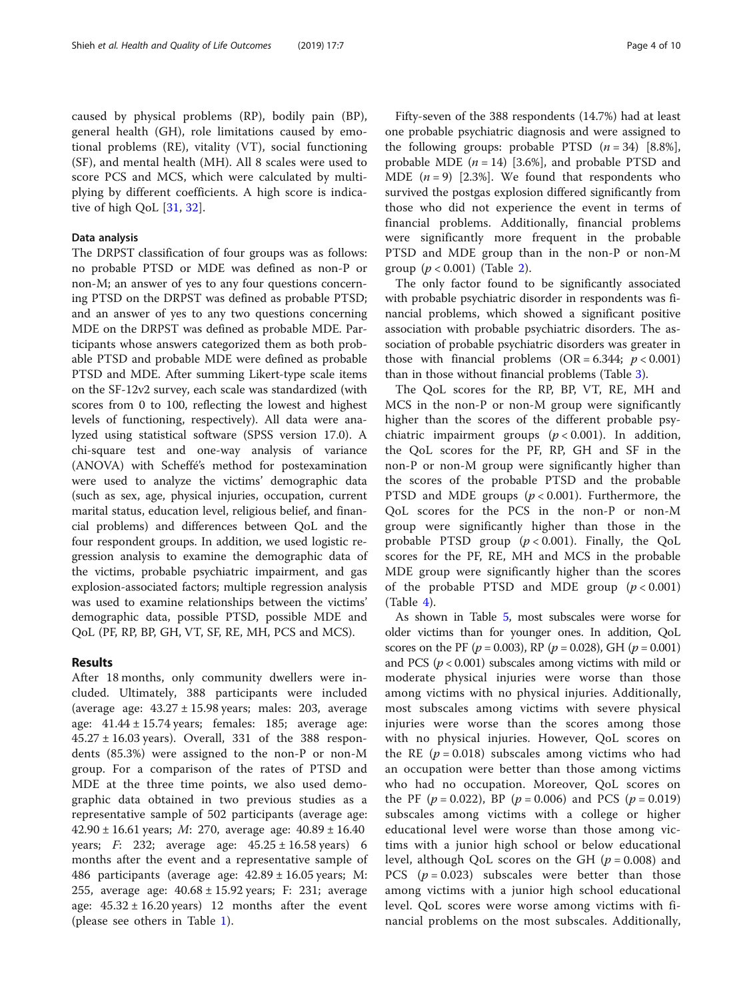caused by physical problems (RP), bodily pain (BP), general health (GH), role limitations caused by emotional problems (RE), vitality (VT), social functioning (SF), and mental health (MH). All 8 scales were used to score PCS and MCS, which were calculated by multiplying by different coefficients. A high score is indicative of high QoL [[31,](#page-9-0) [32](#page-9-0)].

# Data analysis

The DRPST classification of four groups was as follows: no probable PTSD or MDE was defined as non-P or non-M; an answer of yes to any four questions concerning PTSD on the DRPST was defined as probable PTSD; and an answer of yes to any two questions concerning MDE on the DRPST was defined as probable MDE. Participants whose answers categorized them as both probable PTSD and probable MDE were defined as probable PTSD and MDE. After summing Likert-type scale items on the SF-12v2 survey, each scale was standardized (with scores from 0 to 100, reflecting the lowest and highest levels of functioning, respectively). All data were analyzed using statistical software (SPSS version 17.0). A chi-square test and one-way analysis of variance (ANOVA) with Scheffé's method for postexamination were used to analyze the victims' demographic data (such as sex, age, physical injuries, occupation, current marital status, education level, religious belief, and financial problems) and differences between QoL and the four respondent groups. In addition, we used logistic regression analysis to examine the demographic data of the victims, probable psychiatric impairment, and gas explosion-associated factors; multiple regression analysis was used to examine relationships between the victims' demographic data, possible PTSD, possible MDE and QoL (PF, RP, BP, GH, VT, SF, RE, MH, PCS and MCS).

# Results

After 18 months, only community dwellers were included. Ultimately, 388 participants were included (average age:  $43.27 \pm 15.98$  years; males: 203, average age:  $41.44 \pm 15.74$  years; females: 185; average age:  $45.27 \pm 16.03$  years). Overall, 331 of the 388 respondents (85.3%) were assigned to the non-P or non-M group. For a comparison of the rates of PTSD and MDE at the three time points, we also used demographic data obtained in two previous studies as a representative sample of 502 participants (average age: 42.90  $\pm$  16.61 years; *M*: 270, average age:  $40.89 \pm 16.40$ years; *F*: 232; average age:  $45.25 \pm 16.58$  years) 6 months after the event and a representative sample of 486 participants (average age:  $42.89 \pm 16.05$  years; M: 255, average age: 40.68 ± 15.92 years; F: 231; average age:  $45.32 \pm 16.20$  years) 12 months after the event (please see others in Table [1](#page-4-0)).

Fifty-seven of the 388 respondents (14.7%) had at least one probable psychiatric diagnosis and were assigned to the following groups: probable PTSD  $(n = 34)$  [8.8%], probable MDE  $(n = 14)$  [3.6%], and probable PTSD and MDE  $(n = 9)$  [2.3%]. We found that respondents who survived the postgas explosion differed significantly from those who did not experience the event in terms of financial problems. Additionally, financial problems were significantly more frequent in the probable PTSD and MDE group than in the non-P or non-M group  $(p < 0.001)$  (Table [2](#page-5-0)).

The only factor found to be significantly associated with probable psychiatric disorder in respondents was financial problems, which showed a significant positive association with probable psychiatric disorders. The association of probable psychiatric disorders was greater in those with financial problems  $(OR = 6.344; p < 0.001)$ than in those without financial problems (Table [3\)](#page-6-0).

The QoL scores for the RP, BP, VT, RE, MH and MCS in the non-P or non-M group were significantly higher than the scores of the different probable psychiatric impairment groups  $(p < 0.001)$ . In addition, the QoL scores for the PF, RP, GH and SF in the non-P or non-M group were significantly higher than the scores of the probable PTSD and the probable PTSD and MDE groups  $(p < 0.001)$ . Furthermore, the QoL scores for the PCS in the non-P or non-M group were significantly higher than those in the probable PTSD group  $(p < 0.001)$ . Finally, the QoL scores for the PF, RE, MH and MCS in the probable MDE group were significantly higher than the scores of the probable PTSD and MDE group  $(p < 0.001)$  $(Table 4)$  $(Table 4)$ .

As shown in Table [5,](#page-7-0) most subscales were worse for older victims than for younger ones. In addition, QoL scores on the PF ( $p = 0.003$ ), RP ( $p = 0.028$ ), GH ( $p = 0.001$ ) and PCS ( $p < 0.001$ ) subscales among victims with mild or moderate physical injuries were worse than those among victims with no physical injuries. Additionally, most subscales among victims with severe physical injuries were worse than the scores among those with no physical injuries. However, QoL scores on the RE ( $p = 0.018$ ) subscales among victims who had an occupation were better than those among victims who had no occupation. Moreover, QoL scores on the PF ( $p = 0.022$ ), BP ( $p = 0.006$ ) and PCS ( $p = 0.019$ ) subscales among victims with a college or higher educational level were worse than those among victims with a junior high school or below educational level, although QoL scores on the GH ( $p = 0.008$ ) and PCS  $(p = 0.023)$  subscales were better than those among victims with a junior high school educational level. QoL scores were worse among victims with financial problems on the most subscales. Additionally,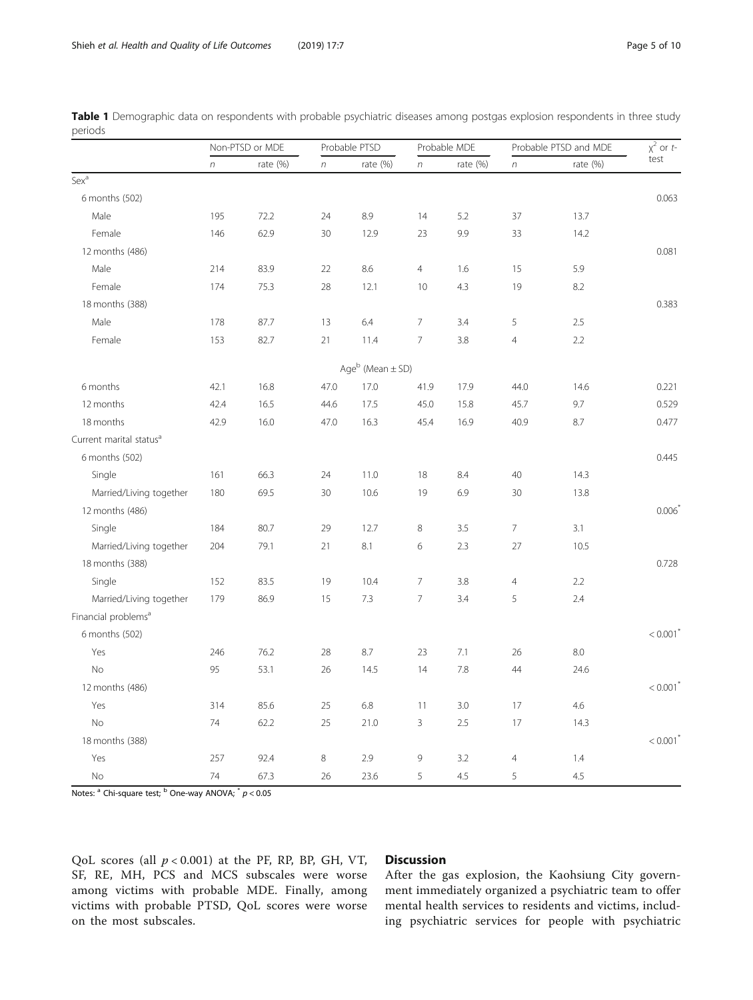|                                     | Non-PTSD or MDE  |             | Probable PTSD |                                | Probable MDE   |             | Probable PTSD and MDE |            | $x^2$ or t-            |
|-------------------------------------|------------------|-------------|---------------|--------------------------------|----------------|-------------|-----------------------|------------|------------------------|
|                                     | $\boldsymbol{n}$ | rate $(\%)$ | $\sqrt{n}$    | rate $(\%)$                    | $\sqrt{n}$     | rate $(\%)$ | $\boldsymbol{n}$      | rate $(%)$ | test                   |
| Sex <sup>a</sup>                    |                  |             |               |                                |                |             |                       |            |                        |
| 6 months (502)                      |                  |             |               |                                |                |             |                       |            | 0.063                  |
| Male                                | 195              | 72.2        | 24            | 8.9                            | 14             | 5.2         | 37                    | 13.7       |                        |
| Female                              | 146              | 62.9        | 30            | 12.9                           | 23             | 9.9         | 33                    | 14.2       |                        |
| 12 months (486)                     |                  |             |               |                                |                |             |                       |            | 0.081                  |
| Male                                | 214              | 83.9        | 22            | 8.6                            | $\overline{4}$ | 1.6         | 15                    | 5.9        |                        |
| Female                              | 174              | 75.3        | 28            | 12.1                           | 10             | 4.3         | 19                    | 8.2        |                        |
| 18 months (388)                     |                  |             |               |                                |                |             |                       |            | 0.383                  |
| Male                                | 178              | 87.7        | 13            | 6.4                            | $\overline{7}$ | 3.4         | 5                     | 2.5        |                        |
| Female                              | 153              | 82.7        | 21            | 11.4                           | $\overline{7}$ | 3.8         | $\overline{4}$        | 2.2        |                        |
|                                     |                  |             |               | Age $^{\rm b}$ (Mean $\pm$ SD) |                |             |                       |            |                        |
| 6 months                            | 42.1             | 16.8        | 47.0          | 17.0                           | 41.9           | 17.9        | 44.0                  | 14.6       | 0.221                  |
| 12 months                           | 42.4             | 16.5        | 44.6          | 17.5                           | 45.0           | 15.8        | 45.7                  | 9.7        | 0.529                  |
| 18 months                           | 42.9             | 16.0        | 47.0          | 16.3                           | 45.4           | 16.9        | 40.9                  | 8.7        | 0.477                  |
| Current marital status <sup>a</sup> |                  |             |               |                                |                |             |                       |            |                        |
| 6 months (502)                      |                  |             |               |                                |                |             |                       |            | 0.445                  |
| Single                              | 161              | 66.3        | 24            | 11.0                           | 18             | 8.4         | 40                    | 14.3       |                        |
| Married/Living together             | 180              | 69.5        | 30            | 10.6                           | 19             | 6.9         | 30                    | 13.8       |                        |
| 12 months (486)                     |                  |             |               |                                |                |             |                       |            | 0.006                  |
| Single                              | 184              | 80.7        | 29            | 12.7                           | 8              | 3.5         | 7                     | 3.1        |                        |
| Married/Living together             | 204              | 79.1        | 21            | 8.1                            | 6              | 2.3         | 27                    | 10.5       |                        |
| 18 months (388)                     |                  |             |               |                                |                |             |                       |            | 0.728                  |
| Single                              | 152              | 83.5        | 19            | 10.4                           | 7              | 3.8         | $\overline{4}$        | 2.2        |                        |
| Married/Living together             | 179              | 86.9        | 15            | 7.3                            | $\overline{7}$ | 3.4         | 5                     | 2.4        |                        |
| Financial problems <sup>a</sup>     |                  |             |               |                                |                |             |                       |            |                        |
| 6 months (502)                      |                  |             |               |                                |                |             |                       |            | $< 0.001$ <sup>*</sup> |
| Yes                                 | 246              | 76.2        | 28            | 8.7                            | 23             | 7.1         | 26                    | 8.0        |                        |
| <b>No</b>                           | 95               | 53.1        | 26            | 14.5                           | 14             | 7.8         | 44                    | 24.6       |                        |
| 12 months (486)                     |                  |             |               |                                |                |             |                       |            | $< 0.001$ <sup>*</sup> |
| Yes                                 | 314              | 85.6        | 25            | $6.8\,$                        | 11             | 3.0         | 17                    | 4.6        |                        |
| No                                  | 74               | 62.2        | 25            | 21.0                           | 3              | 2.5         | 17                    | 14.3       |                        |
| 18 months (388)                     |                  |             |               |                                |                |             |                       |            | $< 0.001$ <sup>*</sup> |
| Yes                                 | 257              | 92.4        | 8             | 2.9                            | 9              | 3.2         | $\overline{4}$        | 1.4        |                        |
| No                                  | 74               | 67.3        | 26            | 23.6                           | 5              | 4.5         | 5                     | 4.5        |                        |

<span id="page-4-0"></span>Table 1 Demographic data on respondents with probable psychiatric diseases among postgas explosion respondents in three study periods

Notes:  $a$  Chi-square test;  $b$  One-way ANOVA;  $p$  < 0.05

QoL scores (all  $p < 0.001$ ) at the PF, RP, BP, GH, VT, SF, RE, MH, PCS and MCS subscales were worse among victims with probable MDE. Finally, among victims with probable PTSD, QoL scores were worse on the most subscales.

# **Discussion**

After the gas explosion, the Kaohsiung City government immediately organized a psychiatric team to offer mental health services to residents and victims, including psychiatric services for people with psychiatric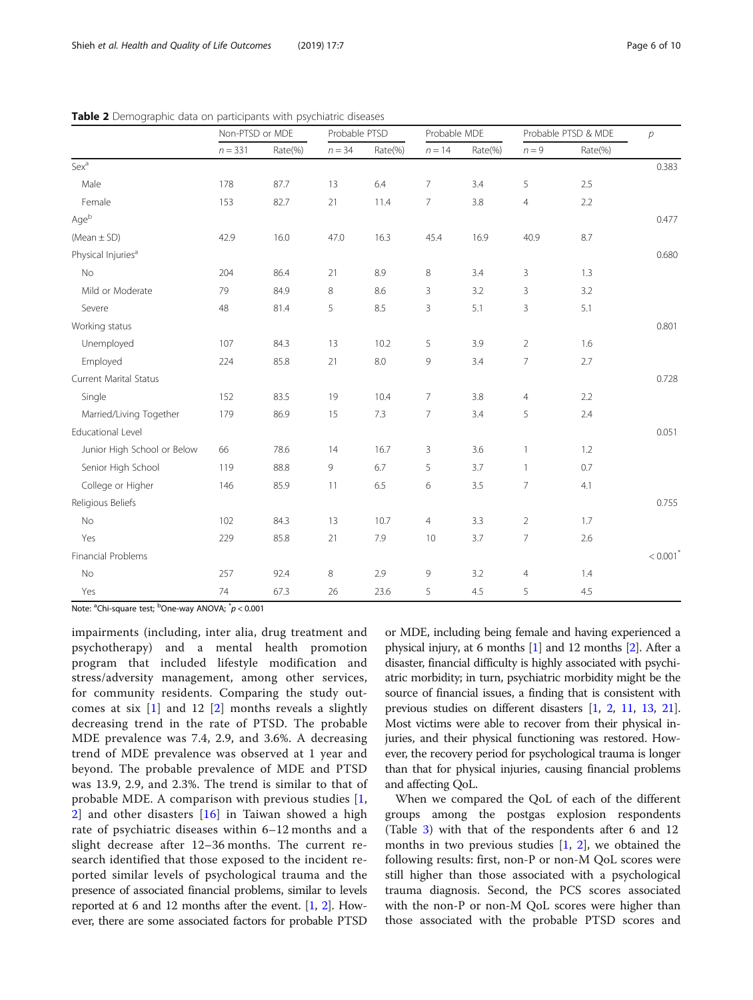<span id="page-5-0"></span>

| <b>Table 2</b> Demographic data on participants with psychiatric diseases<br>Probable PTSD<br>Probable MDE<br>Probable PTSD & MDE<br>Non-PTSD or MDF |           |         |          |         |          |         |         |         |  |
|------------------------------------------------------------------------------------------------------------------------------------------------------|-----------|---------|----------|---------|----------|---------|---------|---------|--|
|                                                                                                                                                      | $n = 331$ | Rate(%) | $n = 34$ | Rate(%) | $n = 14$ | Rate(%) | $n = 9$ | Rate(%) |  |

Table 2 Demographic data on participants with psychiatric

Male 178 87.7 13 6.4 7 3.4 5 2.5 Female 153 82.7 21 11.4 7 3.8 4 2.2 Age<sup>b</sup> 0.477 (Mean ± SD) 42.9 16.0 47.0 16.3 45.4 16.9 40.9 8.7 Physical Injuriesa 0.680 No 204 86.4 21 8.9 8 3.4 3 1.3 Mild or Moderate  $\frac{79}{79}$  84.9 8 8.6 3 3.2 3 3.2 Severe 48 81.4 5 8.5 3 5.1 3 5.1 Working status 0.801 Unemployed 107 84.3 13 10.2 5 3.9 2 1.6 Employed 224 85.8 21 8.0 9 3.4 7 2.7 Current Marital Status 0.728 Single 152 83.5 19 10.4 7 3.8 4 2.2 Married/Living Together 179 86.9 15 7.3 7 3.4 5 2.4 Educational Level 0.051 Junior High School or Below 66 78.6 14 16.7 3 3.6 1 1.2 Senior High School 119 88.8 9 6.7 5 3.7 1 0.7 College or Higher **146** 85.9 11 6.5 6 3.5 7 4.1 Religious Beliefs 0.755 No 102 84.3 13 10.7 4 3.3 2 1.7 Yes 229 85.8 21 7.9 10 3.7 7 2.6 Financial Problems < 0.001\* No 257 92.4 8 2.9 9 3.2 4 1.4 Yes 74 67.3 26 23.6 5 4.5 5 4.5

Note: <sup>a</sup>Chi-square test; <sup>b</sup>One-way ANOVA; <sup>\*</sup>p < 0.001

impairments (including, inter alia, drug treatment and psychotherapy) and a mental health promotion program that included lifestyle modification and stress/adversity management, among other services, for community residents. Comparing the study outcomes at six  $\begin{bmatrix} 1 \end{bmatrix}$  and 12  $\begin{bmatrix} 2 \end{bmatrix}$  months reveals a slightly decreasing trend in the rate of PTSD. The probable MDE prevalence was 7.4, 2.9, and 3.6%. A decreasing trend of MDE prevalence was observed at 1 year and beyond. The probable prevalence of MDE and PTSD was 13.9, 2.9, and 2.3%. The trend is similar to that of probable MDE. A comparison with previous studies [\[1](#page-8-0), [2\]](#page-8-0) and other disasters [[16](#page-9-0)] in Taiwan showed a high rate of psychiatric diseases within 6–12 months and a slight decrease after 12–36 months. The current research identified that those exposed to the incident reported similar levels of psychological trauma and the presence of associated financial problems, similar to levels reported at 6 and 12 months after the event. [\[1](#page-8-0), [2](#page-8-0)]. However, there are some associated factors for probable PTSD

or MDE, including being female and having experienced a physical injury, at 6 months [\[1\]](#page-8-0) and 12 months [\[2\]](#page-8-0). After a disaster, financial difficulty is highly associated with psychiatric morbidity; in turn, psychiatric morbidity might be the source of financial issues, a finding that is consistent with previous studies on different disasters [[1](#page-8-0), [2,](#page-8-0) [11](#page-8-0), [13](#page-9-0), [21](#page-9-0)]. Most victims were able to recover from their physical injuries, and their physical functioning was restored. However, the recovery period for psychological trauma is longer than that for physical injuries, causing financial problems and affecting QoL.

When we compared the QoL of each of the different groups among the postgas explosion respondents (Table [3\)](#page-6-0) with that of the respondents after 6 and 12 months in two previous studies  $[1, 2]$  $[1, 2]$  $[1, 2]$  $[1, 2]$ , we obtained the following results: first, non-P or non-M QoL scores were still higher than those associated with a psychological trauma diagnosis. Second, the PCS scores associated with the non-P or non-M QoL scores were higher than those associated with the probable PTSD scores and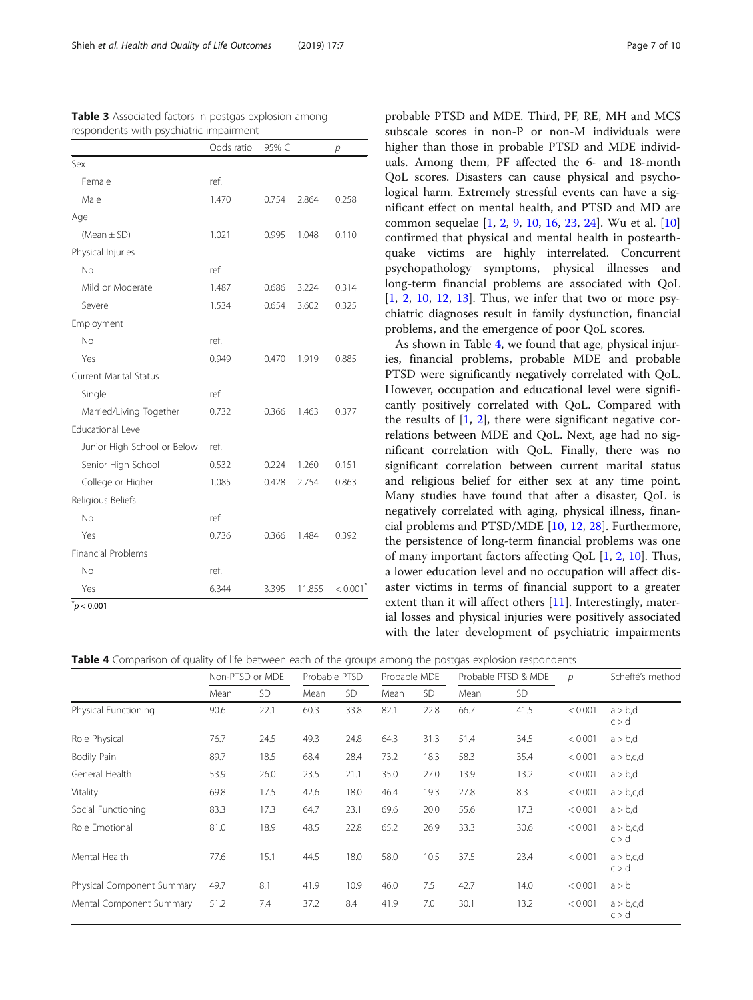|                               | Odds ratio | 95% CI |        | р       |
|-------------------------------|------------|--------|--------|---------|
| Sex                           |            |        |        |         |
| Female                        | ref.       |        |        |         |
| Male                          | 1.470      | 0.754  | 2.864  | 0.258   |
| Age                           |            |        |        |         |
| (Mean $\pm$ SD)               | 1.021      | 0.995  | 1.048  | 0.110   |
| Physical Injuries             |            |        |        |         |
| No                            | ref.       |        |        |         |
| Mild or Moderate              | 1.487      | 0.686  | 3.224  | 0.314   |
| Severe                        | 1.534      | 0.654  | 3.602  | 0.325   |
| Employment                    |            |        |        |         |
| No                            | ref.       |        |        |         |
| Yes                           | 0.949      | 0.470  | 1.919  | 0.885   |
| <b>Current Marital Status</b> |            |        |        |         |
| Single                        | ref.       |        |        |         |
| Married/Living Together       | 0.732      | 0.366  | 1.463  | 0.377   |
| <b>Educational Level</b>      |            |        |        |         |
| Junior High School or Below   | ref.       |        |        |         |
| Senior High School            | 0.532      | 0.224  | 1.260  | 0.151   |
| College or Higher             | 1.085      | 0.428  | 2.754  | 0.863   |
| Religious Beliefs             |            |        |        |         |
| No                            | ref.       |        |        |         |
| Yes                           | 0.736      | 0.366  | 1.484  | 0.392   |
| <b>Financial Problems</b>     |            |        |        |         |
| No                            | ref.       |        |        |         |
| Yes                           | 6.344      | 3.395  | 11.855 | < 0.001 |

<span id="page-6-0"></span>Table 3 Associated factors in postgas explosion among respondents with psychiatric impairment

 $p$  < 0.001

probable PTSD and MDE. Third, PF, RE, MH and MCS subscale scores in non-P or non-M individuals were higher than those in probable PTSD and MDE individuals. Among them, PF affected the 6- and 18-month QoL scores. Disasters can cause physical and psychological harm. Extremely stressful events can have a significant effect on mental health, and PTSD and MD are common sequelae [\[1](#page-8-0), [2,](#page-8-0) [9,](#page-8-0) [10](#page-8-0), [16](#page-9-0), [23,](#page-9-0) [24](#page-9-0)]. Wu et al. [[10](#page-8-0)] confirmed that physical and mental health in postearthquake victims are highly interrelated. Concurrent psychopathology symptoms, physical illnesses and long-term financial problems are associated with QoL [[1,](#page-8-0) [2,](#page-8-0) [10](#page-8-0), [12](#page-8-0), [13\]](#page-9-0). Thus, we infer that two or more psychiatric diagnoses result in family dysfunction, financial problems, and the emergence of poor QoL scores.

As shown in Table 4, we found that age, physical injuries, financial problems, probable MDE and probable PTSD were significantly negatively correlated with QoL. However, occupation and educational level were significantly positively correlated with QoL. Compared with the results of  $[1, 2]$  $[1, 2]$  $[1, 2]$  $[1, 2]$  $[1, 2]$ , there were significant negative correlations between MDE and QoL. Next, age had no significant correlation with QoL. Finally, there was no significant correlation between current marital status and religious belief for either sex at any time point. Many studies have found that after a disaster, QoL is negatively correlated with aging, physical illness, financial problems and PTSD/MDE [\[10](#page-8-0), [12](#page-8-0), [28](#page-9-0)]. Furthermore, the persistence of long-term financial problems was one of many important factors affecting QoL [\[1](#page-8-0), [2](#page-8-0), [10](#page-8-0)]. Thus, a lower education level and no occupation will affect disaster victims in terms of financial support to a greater extent than it will affect others [\[11](#page-8-0)]. Interestingly, material losses and physical injuries were positively associated with the later development of psychiatric impairments

**Table 4** Comparison of quality of life between each of the groups among the postgas explosion respondents

|                            | Non-PTSD or MDE |           | Probable PTSD |           | Probable MDE |      | Probable PTSD & MDE |      | р       | Scheffé's method      |
|----------------------------|-----------------|-----------|---------------|-----------|--------------|------|---------------------|------|---------|-----------------------|
|                            | Mean            | <b>SD</b> | Mean          | <b>SD</b> | Mean         | SD.  | Mean                | SD.  |         |                       |
| Physical Functioning       | 90.6            | 22.1      | 60.3          | 33.8      | 82.1         | 22.8 | 66.7                | 41.5 | < 0.001 | $a > b$ ,d<br>c > d   |
| Role Physical              | 76.7            | 24.5      | 49.3          | 24.8      | 64.3         | 31.3 | 51.4                | 34.5 | < 0.001 | $a > b$ ,d            |
| Bodily Pain                | 89.7            | 18.5      | 68.4          | 28.4      | 73.2         | 18.3 | 58.3                | 35.4 | < 0.001 | $a > b$ , c, d        |
| General Health             | 53.9            | 26.0      | 23.5          | 21.1      | 35.0         | 27.0 | 13.9                | 13.2 | < 0.001 | $a > b$ ,d            |
| Vitality                   | 69.8            | 17.5      | 42.6          | 18.0      | 46.4         | 19.3 | 27.8                | 8.3  | < 0.001 | $a > b$ , c, d        |
| Social Functioning         | 83.3            | 17.3      | 64.7          | 23.1      | 69.6         | 20.0 | 55.6                | 17.3 | < 0.001 | $a > b$ ,d            |
| Role Emotional             | 81.0            | 18.9      | 48.5          | 22.8      | 65.2         | 26.9 | 33.3                | 30.6 | < 0.001 | $a > b$ ,c,d<br>c > d |
| Mental Health              | 77.6            | 15.1      | 44.5          | 18.0      | 58.0         | 10.5 | 37.5                | 23.4 | < 0.001 | $a > b$ ,c,d<br>c > d |
| Physical Component Summary | 49.7            | 8.1       | 41.9          | 10.9      | 46.0         | 7.5  | 42.7                | 14.0 | < 0.001 | a > b                 |
| Mental Component Summary   | 51.2            | 7.4       | 37.2          | 8.4       | 41.9         | 7.0  | 30.1                | 13.2 | < 0.001 | $a > b$ ,c,d<br>c > d |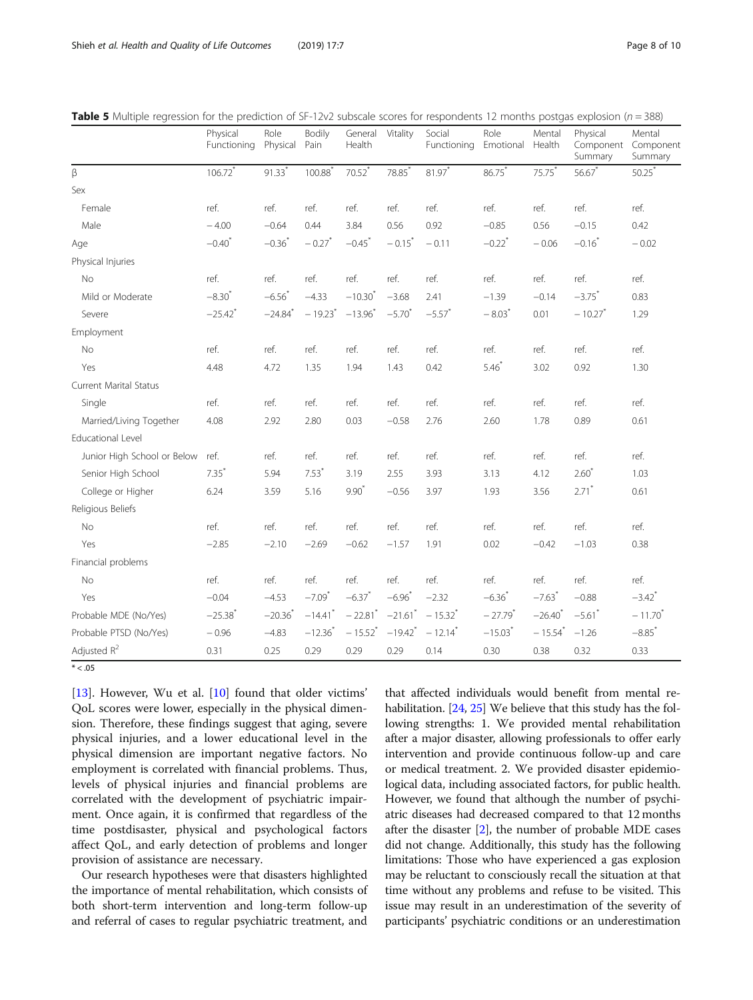<span id="page-7-0"></span>

| <b>Table 5</b> Multiple regression for the prediction of SF-12v2 subscale scores for respondents 12 months postgas explosion ( $n = 388$ ) |  |  |  |
|--------------------------------------------------------------------------------------------------------------------------------------------|--|--|--|
|                                                                                                                                            |  |  |  |

|                             | Physical<br>Functioning | Role<br>Physical      | Bodily<br>Pain        | General<br>Health     | Vitality              | Social<br>Functioning | Role<br>Emotional     | Mental<br>Health      | Physical<br>Component<br>Summary | Mental<br>Component<br>Summary |
|-----------------------------|-------------------------|-----------------------|-----------------------|-----------------------|-----------------------|-----------------------|-----------------------|-----------------------|----------------------------------|--------------------------------|
| β                           | $106.72$ <sup>*</sup>   | $91.33*$              | 100.88                | $70.52$ <sup>*</sup>  | 78.85*                | 81.97*                | 86.75*                | 75.75*                | $56.67*$                         | 50.25                          |
| Sex                         |                         |                       |                       |                       |                       |                       |                       |                       |                                  |                                |
| Female                      | ref.                    | ref.                  | ref.                  | ref.                  | ref.                  | ref.                  | ref.                  | ref.                  | ref.                             | ref.                           |
| Male                        | $-4.00$                 | $-0.64$               | 0.44                  | 3.84                  | 0.56                  | 0.92                  | $-0.85$               | 0.56                  | $-0.15$                          | 0.42                           |
| Age                         | $-0.40$ <sup>*</sup>    | $-0.36$               | $-0.27$ <sup>*</sup>  | $-0.45$ <sup>*</sup>  | $-0.15$ <sup>*</sup>  | $-0.11$               | $-0.22$ <sup>*</sup>  | $-0.06$               | $-0.16$                          | $-0.02$                        |
| Physical Injuries           |                         |                       |                       |                       |                       |                       |                       |                       |                                  |                                |
| <b>No</b>                   | ref.                    | ref.                  | ref.                  | ref.                  | ref.                  | ref.                  | ref.                  | ref.                  | ref.                             | ref.                           |
| Mild or Moderate            | $-8.30^{*}$             | $-6.56$               | $-4.33$               | $-10.30^{*}$          | $-3.68$               | 2.41                  | $-1.39$               | $-0.14$               | $-3.75$ <sup>*</sup>             | 0.83                           |
| Severe                      | $-25.42$ <sup>*</sup>   | $-24.84$ <sup>*</sup> | $-19.23$ <sup>*</sup> | $-13.96$ <sup>*</sup> | $-5.70$ <sup>*</sup>  | $-5.57$ *             | $-8.03$ <sup>*</sup>  | 0.01                  | $-10.27$ <sup>*</sup>            | 1.29                           |
| Employment                  |                         |                       |                       |                       |                       |                       |                       |                       |                                  |                                |
| No                          | ref.                    | ref.                  | ref.                  | ref.                  | ref.                  | ref.                  | ref.                  | ref.                  | ref.                             | ref.                           |
| Yes                         | 4.48                    | 4.72                  | 1.35                  | 1.94                  | 1.43                  | 0.42                  | $5.46*$               | 3.02                  | 0.92                             | 1.30                           |
| Current Marital Status      |                         |                       |                       |                       |                       |                       |                       |                       |                                  |                                |
| Single                      | ref.                    | ref.                  | ref.                  | ref.                  | ref.                  | ref.                  | ref.                  | ref.                  | ref.                             | ref.                           |
| Married/Living Together     | 4.08                    | 2.92                  | 2.80                  | 0.03                  | $-0.58$               | 2.76                  | 2.60                  | 1.78                  | 0.89                             | 0.61                           |
| <b>Educational Level</b>    |                         |                       |                       |                       |                       |                       |                       |                       |                                  |                                |
| Junior High School or Below | ref.                    | ref.                  | ref.                  | ref.                  | ref.                  | ref.                  | ref.                  | ref.                  | ref.                             | ref.                           |
| Senior High School          | 7.35'                   | 5.94                  | $7.53*$               | 3.19                  | 2.55                  | 3.93                  | 3.13                  | 4.12                  | $2.60*$                          | 1.03                           |
| College or Higher           | 6.24                    | 3.59                  | 5.16                  | $9.90*$               | $-0.56$               | 3.97                  | 1.93                  | 3.56                  | $2.71$ *                         | 0.61                           |
| Religious Beliefs           |                         |                       |                       |                       |                       |                       |                       |                       |                                  |                                |
| No                          | ref.                    | ref.                  | ref.                  | ref.                  | ref.                  | ref.                  | ref.                  | ref.                  | ref.                             | ref.                           |
| Yes                         | $-2.85$                 | $-2.10$               | $-2.69$               | $-0.62$               | $-1.57$               | 1.91                  | 0.02                  | $-0.42$               | $-1.03$                          | 0.38                           |
| Financial problems          |                         |                       |                       |                       |                       |                       |                       |                       |                                  |                                |
| No                          | ref.                    | ref.                  | ref.                  | ref.                  | ref.                  | ref.                  | ref.                  | ref.                  | ref.                             | ref.                           |
| Yes                         | $-0.04$                 | $-4.53$               | $-7.09$ <sup>*</sup>  | $-6.37$ <sup>*</sup>  | $-6.96$               | $-2.32$               | $-6.36$               | $-7.63$ <sup>*</sup>  | $-0.88$                          | $-3.42$ <sup>*</sup>           |
| Probable MDE (No/Yes)       | $-25.38$ <sup>*</sup>   | $-20.36$              | $-14.41$ <sup>*</sup> | $-22.81$ <sup>*</sup> | $-21.61$ *            | $-15.32$ <sup>*</sup> | $-27.79$ <sup>*</sup> | $-26.40$ <sup>*</sup> | $-5.61$ *                        | $-11.70$                       |
| Probable PTSD (No/Yes)      | $-0.96$                 | $-4.83$               | $-12.36$              | $-15.52$ <sup>*</sup> | $-19.42$ <sup>*</sup> | $-12.14$ <sup>*</sup> | $-15.03$ <sup>*</sup> | $-15.54$ <sup>*</sup> | $-1.26$                          | $-8.85$ <sup>*</sup>           |
| Adjusted $R^2$              | 0.31                    | 0.25                  | 0.29                  | 0.29                  | 0.29                  | 0.14                  | 0.30                  | 0.38                  | 0.32                             | 0.33                           |

 $* < 05$ 

[[13\]](#page-9-0). However, Wu et al. [[10\]](#page-8-0) found that older victims' QoL scores were lower, especially in the physical dimension. Therefore, these findings suggest that aging, severe physical injuries, and a lower educational level in the physical dimension are important negative factors. No employment is correlated with financial problems. Thus, levels of physical injuries and financial problems are correlated with the development of psychiatric impairment. Once again, it is confirmed that regardless of the time postdisaster, physical and psychological factors affect QoL, and early detection of problems and longer provision of assistance are necessary.

Our research hypotheses were that disasters highlighted the importance of mental rehabilitation, which consists of both short-term intervention and long-term follow-up and referral of cases to regular psychiatric treatment, and

that affected individuals would benefit from mental re-habilitation. [[24](#page-9-0), [25\]](#page-9-0) We believe that this study has the following strengths: 1. We provided mental rehabilitation after a major disaster, allowing professionals to offer early intervention and provide continuous follow-up and care or medical treatment. 2. We provided disaster epidemiological data, including associated factors, for public health. However, we found that although the number of psychiatric diseases had decreased compared to that 12 months after the disaster [\[2\]](#page-8-0), the number of probable MDE cases did not change. Additionally, this study has the following limitations: Those who have experienced a gas explosion may be reluctant to consciously recall the situation at that time without any problems and refuse to be visited. This issue may result in an underestimation of the severity of participants' psychiatric conditions or an underestimation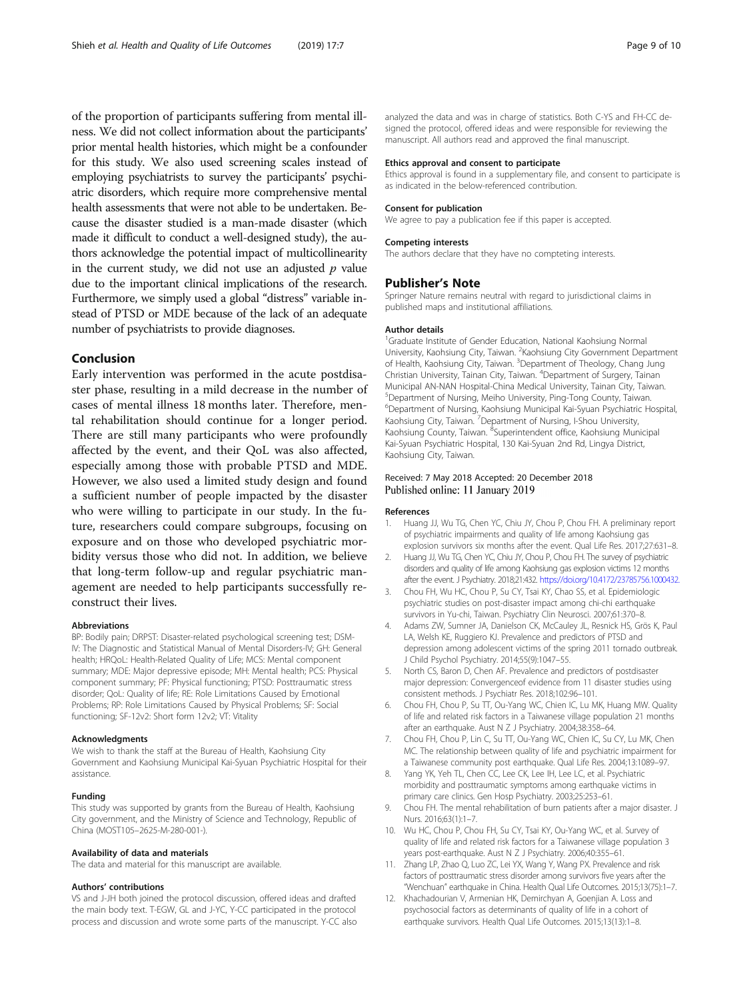<span id="page-8-0"></span>of the proportion of participants suffering from mental illness. We did not collect information about the participants' prior mental health histories, which might be a confounder for this study. We also used screening scales instead of employing psychiatrists to survey the participants' psychiatric disorders, which require more comprehensive mental health assessments that were not able to be undertaken. Because the disaster studied is a man-made disaster (which made it difficult to conduct a well-designed study), the authors acknowledge the potential impact of multicollinearity in the current study, we did not use an adjusted  $p$  value due to the important clinical implications of the research. Furthermore, we simply used a global "distress" variable instead of PTSD or MDE because of the lack of an adequate number of psychiatrists to provide diagnoses.

# Conclusion

Early intervention was performed in the acute postdisaster phase, resulting in a mild decrease in the number of cases of mental illness 18 months later. Therefore, mental rehabilitation should continue for a longer period. There are still many participants who were profoundly affected by the event, and their QoL was also affected, especially among those with probable PTSD and MDE. However, we also used a limited study design and found a sufficient number of people impacted by the disaster who were willing to participate in our study. In the future, researchers could compare subgroups, focusing on exposure and on those who developed psychiatric morbidity versus those who did not. In addition, we believe that long-term follow-up and regular psychiatric management are needed to help participants successfully reconstruct their lives.

#### Abbreviations

BP: Bodily pain; DRPST: Disaster-related psychological screening test; DSM-IV: The Diagnostic and Statistical Manual of Mental Disorders-IV; GH: General health; HRQoL: Health-Related Quality of Life; MCS: Mental component summary; MDE: Major depressive episode; MH: Mental health; PCS: Physical component summary; PF: Physical functioning; PTSD: Posttraumatic stress disorder; QoL: Quality of life; RE: Role Limitations Caused by Emotional Problems; RP: Role Limitations Caused by Physical Problems; SF: Social functioning; SF-12v2: Short form 12v2; VT: Vitality

#### Acknowledgments

We wish to thank the staff at the Bureau of Health, Kaohsiung City Government and Kaohsiung Municipal Kai-Syuan Psychiatric Hospital for their assistance.

#### Funding

This study was supported by grants from the Bureau of Health, Kaohsiung City government, and the Ministry of Science and Technology, Republic of China (MOST105–2625-M-280-001-).

#### Availability of data and materials

The data and material for this manuscript are available.

#### Authors' contributions

VS and J-JH both joined the protocol discussion, offered ideas and drafted the main body text. T-EGW, GL and J-YC, Y-CC participated in the protocol process and discussion and wrote some parts of the manuscript. Y-CC also analyzed the data and was in charge of statistics. Both C-YS and FH-CC designed the protocol, offered ideas and were responsible for reviewing the manuscript. All authors read and approved the final manuscript.

#### Ethics approval and consent to participate

Ethics approval is found in a supplementary file, and consent to participate is as indicated in the below-referenced contribution.

#### Consent for publication We agree to pay a publication fee if this paper is accepted.

# Competing interests

The authors declare that they have no compteting interests.

#### Publisher's Note

Springer Nature remains neutral with regard to jurisdictional claims in published maps and institutional affiliations.

#### Author details

<sup>1</sup>Graduate Institute of Gender Education, National Kaohsiung Normal University, Kaohsiung City, Taiwan. <sup>2</sup>Kaohsiung City Government Department of Health, Kaohsiung City, Taiwan. <sup>3</sup>Department of Theology, Chang Jung Christian University, Tainan City, Taiwan. <sup>4</sup> Department of Surgery, Tainan Municipal AN-NAN Hospital-China Medical University, Tainan City, Taiwan. 5 Department of Nursing, Meiho University, Ping-Tong County, Taiwan. 6 Department of Nursing, Kaohsiung Municipal Kai-Syuan Psychiatric Hospital, Kaohsiung City, Taiwan. <sup>7</sup> Department of Nursing, I-Shou University, Kaohsiung County, Taiwan. <sup>8</sup>Superintendent office, Kaohsiung Municipal Kai-Syuan Psychiatric Hospital, 130 Kai-Syuan 2nd Rd, Lingya District, Kaohsiung City, Taiwan.

# Received: 7 May 2018 Accepted: 20 December 2018 Published online: 11 January 2019

#### References

- 1. Huang JJ, Wu TG, Chen YC, Chiu JY, Chou P, Chou FH. A preliminary report of psychiatric impairments and quality of life among Kaohsiung gas explosion survivors six months after the event. Qual Life Res. 2017;27:631–8.
- 2. Huang JJ, Wu TG, Chen YC, Chiu JY, Chou P, Chou FH. The survey of psychiatric disorders and quality of life among Kaohsiung gas explosion victims 12 months after the event. J Psychiatry. 2018;21:432. <https://doi.org/10.4172/23785756.1000432.>
- 3. Chou FH, Wu HC, Chou P, Su CY, Tsai KY, Chao SS, et al. Epidemiologic psychiatric studies on post-disaster impact among chi-chi earthquake survivors in Yu-chi, Taiwan. Psychiatry Clin Neurosci. 2007;61:370–8.
- 4. Adams ZW, Sumner JA, Danielson CK, McCauley JL, Resnick HS, Grös K, Paul LA, Welsh KE, Ruggiero KJ. Prevalence and predictors of PTSD and depression among adolescent victims of the spring 2011 tornado outbreak. J Child Psychol Psychiatry. 2014;55(9):1047–55.
- 5. North CS, Baron D, Chen AF. Prevalence and predictors of postdisaster major depression: Convergenceof evidence from 11 disaster studies using consistent methods. J Psychiatr Res. 2018;102:96–101.
- 6. Chou FH, Chou P, Su TT, Ou-Yang WC, Chien IC, Lu MK, Huang MW. Quality of life and related risk factors in a Taiwanese village population 21 months after an earthquake. Aust N Z J Psychiatry. 2004;38:358–64.
- 7. Chou FH, Chou P, Lin C, Su TT, Ou-Yang WC, Chien IC, Su CY, Lu MK, Chen MC. The relationship between quality of life and psychiatric impairment for a Taiwanese community post earthquake. Qual Life Res. 2004;13:1089–97.
- 8. Yang YK, Yeh TL, Chen CC, Lee CK, Lee IH, Lee LC, et al. Psychiatric morbidity and posttraumatic symptoms among earthquake victims in primary care clinics. Gen Hosp Psychiatry. 2003;25:253–61.
- 9. Chou FH. The mental rehabilitation of burn patients after a major disaster. J Nurs. 2016;63(1):1–7.
- 10. Wu HC, Chou P, Chou FH, Su CY, Tsai KY, Ou-Yang WC, et al. Survey of quality of life and related risk factors for a Taiwanese village population 3 years post-earthquake. Aust N Z J Psychiatry. 2006;40:355–61.
- 11. Zhang LP, Zhao Q, Luo ZC, Lei YX, Wang Y, Wang PX. Prevalence and risk factors of posttraumatic stress disorder among survivors five years after the "Wenchuan" earthquake in China. Health Qual Life Outcomes. 2015;13(75):1–7.
- 12. Khachadourian V, Armenian HK, Demirchyan A, Goenjian A. Loss and psychosocial factors as determinants of quality of life in a cohort of earthquake survivors. Health Qual Life Outcomes. 2015;13(13):1–8.